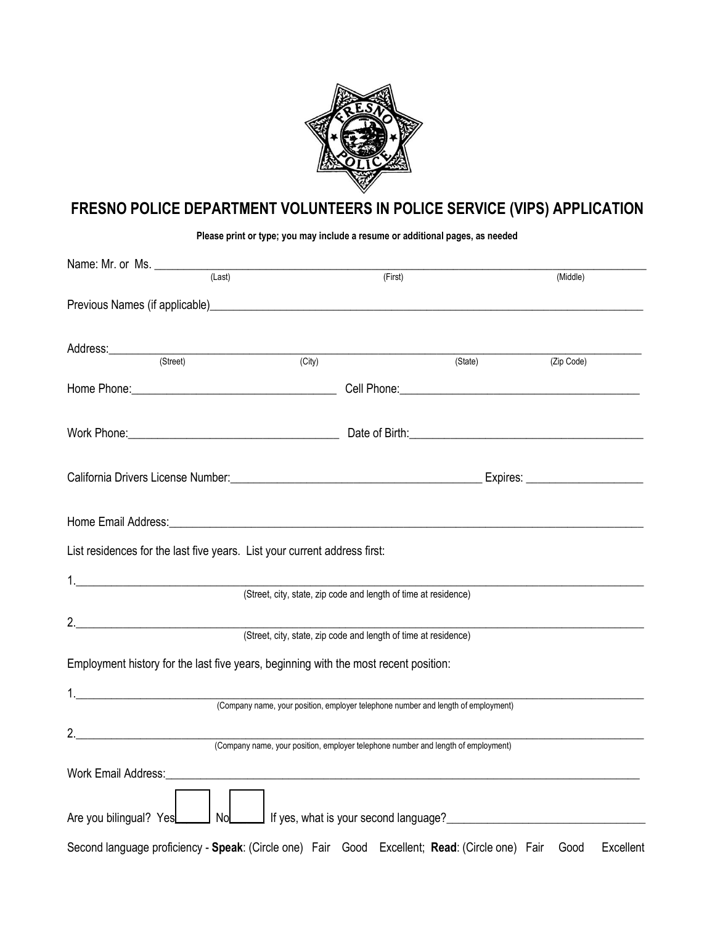

# **FRESNO POLICE DEPARTMENT VOLUNTEERS IN POLICE SERVICE (VIPS) APPLICATION**

**Please print or type; you may include a resume or additional pages, as needed** 

| (Last)                                                                                                                                                                                                                         |                                                                                   | (First) | (Middle)          |
|--------------------------------------------------------------------------------------------------------------------------------------------------------------------------------------------------------------------------------|-----------------------------------------------------------------------------------|---------|-------------------|
| Previous Names (if applicable) expression and the contract of the contract of the contract of the contract of                                                                                                                  |                                                                                   |         |                   |
| Address: (Street)                                                                                                                                                                                                              | $\overline{(City)}$                                                               | (State) | (Zip Code)        |
|                                                                                                                                                                                                                                |                                                                                   |         |                   |
|                                                                                                                                                                                                                                |                                                                                   |         |                   |
| Work Phone: <u>Contract Communication</u> Date of Birth: Contract Communication of Birth:                                                                                                                                      |                                                                                   |         |                   |
|                                                                                                                                                                                                                                |                                                                                   |         |                   |
| Home Email Address: North American State Communication of the Communication of the Communication of the Communication                                                                                                          |                                                                                   |         |                   |
| List residences for the last five years. List your current address first:                                                                                                                                                      |                                                                                   |         |                   |
|                                                                                                                                                                                                                                |                                                                                   |         |                   |
|                                                                                                                                                                                                                                | (Street, city, state, zip code and length of time at residence)                   |         |                   |
| 2.                                                                                                                                                                                                                             |                                                                                   |         |                   |
|                                                                                                                                                                                                                                | (Street, city, state, zip code and length of time at residence)                   |         |                   |
| Employment history for the last five years, beginning with the most recent position:                                                                                                                                           |                                                                                   |         |                   |
|                                                                                                                                                                                                                                |                                                                                   |         |                   |
|                                                                                                                                                                                                                                | (Company name, your position, employer telephone number and length of employment) |         |                   |
| 2.                                                                                                                                                                                                                             |                                                                                   |         |                   |
|                                                                                                                                                                                                                                | (Company name, your position, employer telephone number and length of employment) |         |                   |
| Work Email Address: What is a strategies of the strategies of the strategies of the strategies of the strategies of the strategies of the strategies of the strategies of the strategies of the strategies of the strategies o |                                                                                   |         |                   |
|                                                                                                                                                                                                                                |                                                                                   |         |                   |
| Are you bilingual? Yes San Doll No During If yes, what is your second language? San Doll No During University Press, what is your second language? University Press, what is your second language? University Press, what is y |                                                                                   |         |                   |
| Second language proficiency - Speak: (Circle one) Fair Good Excellent; Read: (Circle one) Fair                                                                                                                                 |                                                                                   |         | Good<br>Excellent |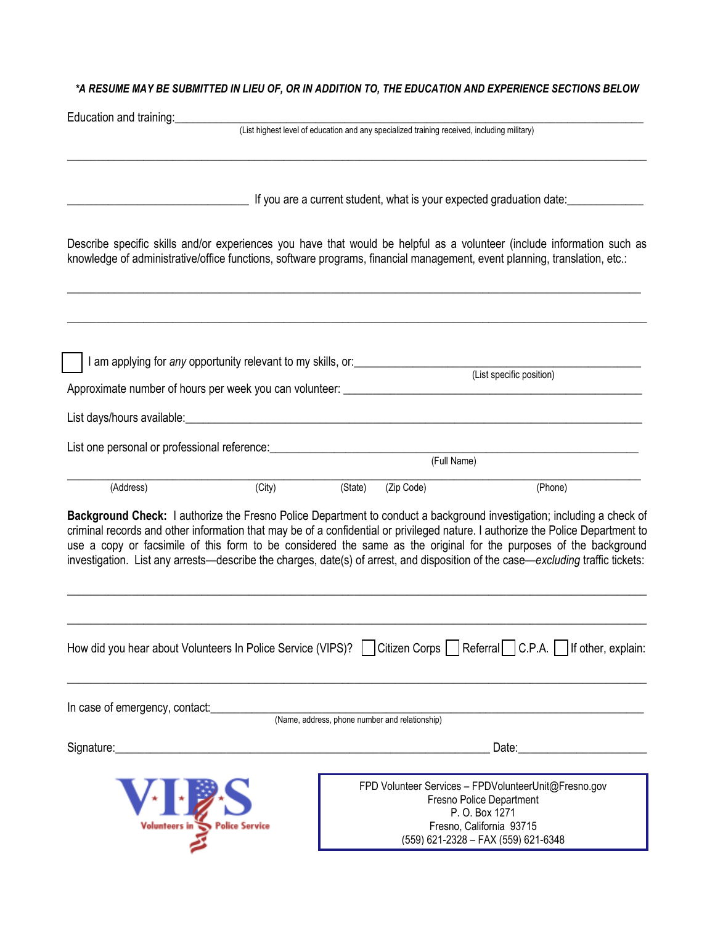#### *\*A RESUME MAY BE SUBMITTED IN LIEU OF, OR IN ADDITION TO, THE EDUCATION AND EXPERIENCE SECTIONS BELOW*

| Education and training:                                                                                                                                                                                                                                                                                                                                                                                                                                                                                           |         |                                                                                             |                                                                                                                                                                                                                                |
|-------------------------------------------------------------------------------------------------------------------------------------------------------------------------------------------------------------------------------------------------------------------------------------------------------------------------------------------------------------------------------------------------------------------------------------------------------------------------------------------------------------------|---------|---------------------------------------------------------------------------------------------|--------------------------------------------------------------------------------------------------------------------------------------------------------------------------------------------------------------------------------|
|                                                                                                                                                                                                                                                                                                                                                                                                                                                                                                                   |         | (List highest level of education and any specialized training received, including military) |                                                                                                                                                                                                                                |
|                                                                                                                                                                                                                                                                                                                                                                                                                                                                                                                   |         |                                                                                             | If you are a current student, what is your expected graduation date:                                                                                                                                                           |
| Describe specific skills and/or experiences you have that would be helpful as a volunteer (include information such as<br>knowledge of administrative/office functions, software programs, financial management, event planning, translation, etc.:                                                                                                                                                                                                                                                               |         |                                                                                             |                                                                                                                                                                                                                                |
| I am applying for any opportunity relevant to my skills, or: ___________________                                                                                                                                                                                                                                                                                                                                                                                                                                  |         |                                                                                             | (List specific position)                                                                                                                                                                                                       |
|                                                                                                                                                                                                                                                                                                                                                                                                                                                                                                                   |         |                                                                                             |                                                                                                                                                                                                                                |
|                                                                                                                                                                                                                                                                                                                                                                                                                                                                                                                   |         |                                                                                             |                                                                                                                                                                                                                                |
| List one personal or professional reference: ___________________________________                                                                                                                                                                                                                                                                                                                                                                                                                                  |         |                                                                                             |                                                                                                                                                                                                                                |
|                                                                                                                                                                                                                                                                                                                                                                                                                                                                                                                   |         |                                                                                             | (Full Name)                                                                                                                                                                                                                    |
| (Address)<br>(City)                                                                                                                                                                                                                                                                                                                                                                                                                                                                                               | (State) | (Zip Code)                                                                                  | (Phone)                                                                                                                                                                                                                        |
| Background Check: I authorize the Fresno Police Department to conduct a background investigation; including a check of<br>criminal records and other information that may be of a confidential or privileged nature. I authorize the Police Department to<br>use a copy or facsimile of this form to be considered the same as the original for the purposes of the background<br>investigation. List any arrests—describe the charges, date(s) of arrest, and disposition of the case—excluding traffic tickets: |         |                                                                                             |                                                                                                                                                                                                                                |
| How did you hear about Volunteers In Police Service (VIPS)?   Citizen Corps   Referral C.P.A.   If other, explain:                                                                                                                                                                                                                                                                                                                                                                                                |         |                                                                                             |                                                                                                                                                                                                                                |
| In case of emergency, contact:                                                                                                                                                                                                                                                                                                                                                                                                                                                                                    |         | (Name, address, phone number and relationship)                                              |                                                                                                                                                                                                                                |
| Signature:<br><u> 1989 - Jan Samuel Barbara, margaret eta biztanleria (h. 1982).</u>                                                                                                                                                                                                                                                                                                                                                                                                                              |         |                                                                                             | Date: the contract of the contract of the contract of the contract of the contract of the contract of the contract of the contract of the contract of the contract of the contract of the contract of the contract of the cont |
|                                                                                                                                                                                                                                                                                                                                                                                                                                                                                                                   |         |                                                                                             | FPD Volunteer Services - FPDVolunteerUnit@Fresno.gov<br>Fresno Police Department<br>P. O. Box 1271                                                                                                                             |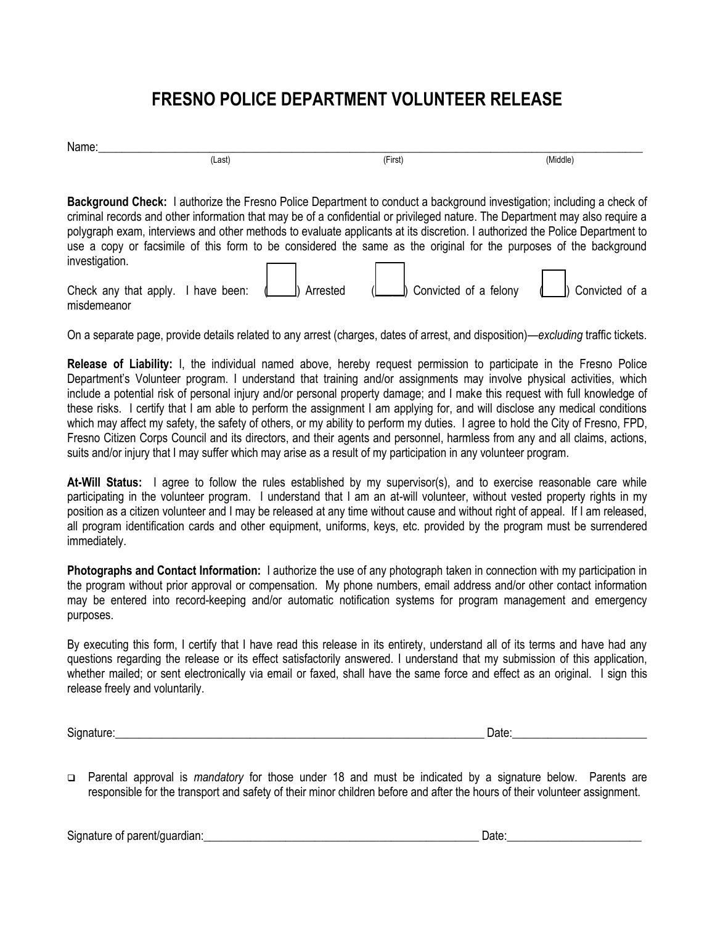## **FRESNO POLICE DEPARTMENT VOLUNTEER RELEASE**

| m |     |                                        |        |
|---|-----|----------------------------------------|--------|
|   | ast | $\overline{\phantom{0}}$<br>Firs:<br>. | Aiddle |

**Background Check:** I authorize the Fresno Police Department to conduct a background investigation; including a check of criminal records and other information that may be of a confidential or privileged nature. The Department may also require a polygraph exam, interviews and other methods to evaluate applicants at its discretion. I authorized the Police Department to use a copy or facsimile of this form to be considered the same as the original for the purposes of the background investigation.  $\Box$  $\Box$ 

| Check any that apply. I have been: $\left( \begin{array}{ccc} \perp & \perp & \perp \\ \perp & \perp & \perp \end{array} \right)$ |  | $\Box$ ) Arrested | Convicted of a felony (Convicted of a |  |
|-----------------------------------------------------------------------------------------------------------------------------------|--|-------------------|---------------------------------------|--|
| misdemeanor                                                                                                                       |  |                   |                                       |  |

On a separate page, provide details related to any arrest (charges, dates of arrest, and disposition)—*excluding* traffic tickets.

**Release of Liability:** I, the individual named above, hereby request permission to participate in the Fresno Police Department's Volunteer program. I understand that training and/or assignments may involve physical activities, which include a potential risk of personal injury and/or personal property damage; and I make this request with full knowledge of these risks. I certify that I am able to perform the assignment I am applying for, and will disclose any medical conditions which may affect my safety, the safety of others, or my ability to perform my duties. I agree to hold the City of Fresno, FPD, Fresno Citizen Corps Council and its directors, and their agents and personnel, harmless from any and all claims, actions, suits and/or injury that I may suffer which may arise as a result of my participation in any volunteer program.

**At-Will Status:** I agree to follow the rules established by my supervisor(s), and to exercise reasonable care while participating in the volunteer program. I understand that I am an at-will volunteer, without vested property rights in my position as a citizen volunteer and I may be released at any time without cause and without right of appeal. If I am released, all program identification cards and other equipment, uniforms, keys, etc. provided by the program must be surrendered immediately.

**Photographs and Contact Information:** I authorize the use of any photograph taken in connection with my participation in the program without prior approval or compensation. My phone numbers, email address and/or other contact information may be entered into record-keeping and/or automatic notification systems for program management and emergency purposes.

By executing this form, I certify that I have read this release in its entirety, understand all of its terms and have had any questions regarding the release or its effect satisfactorily answered. I understand that my submission of this application, whether mailed; or sent electronically via email or faxed, shall have the same force and effect as an original. I sign this release freely and voluntarily.

Signature:\_\_\_\_\_\_\_\_\_\_\_\_\_\_\_\_\_\_\_\_\_\_\_\_\_\_\_\_\_\_\_\_\_\_\_\_\_\_\_\_\_\_\_\_\_\_\_\_\_\_\_\_\_\_\_\_\_\_\_\_\_\_\_ Date:\_\_\_\_\_\_\_\_\_\_\_\_\_\_\_\_\_\_\_\_\_\_\_

 Parental approval is *mandatory* for those under 18 and must be indicated by a signature below. Parents are responsible for the transport and safety of their minor children before and after the hours of their volunteer assignment.

Signature of parent/quardian: example of parent/quardian: example of the set of the set of the set of the set of the set of the set of the set of the set of the set of the set of the set of the set of the set of the set of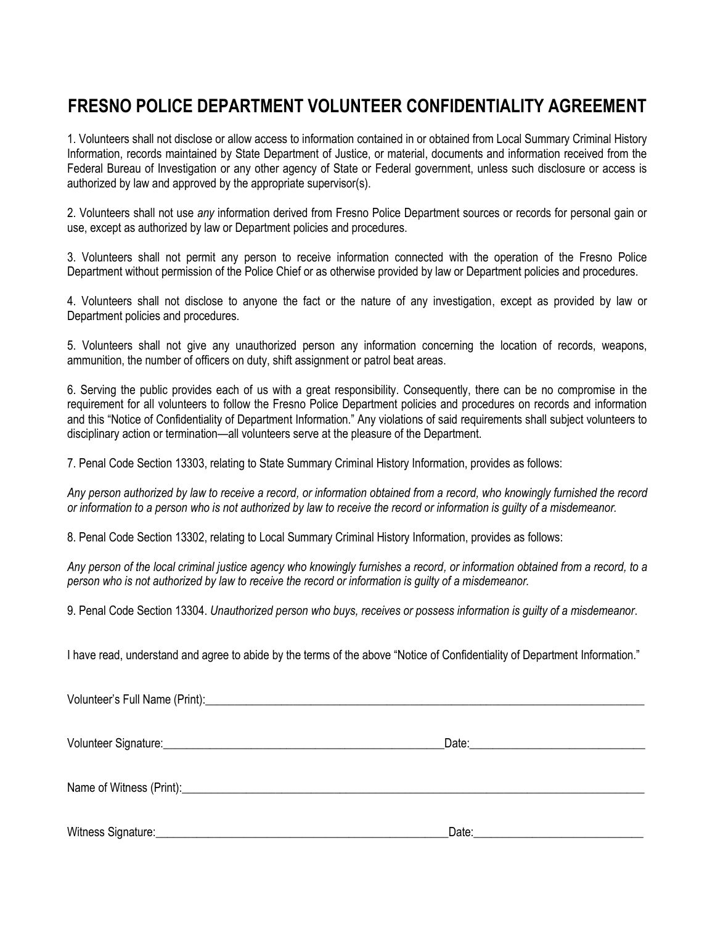### **FRESNO POLICE DEPARTMENT VOLUNTEER CONFIDENTIALITY AGREEMENT**

1. Volunteers shall not disclose or allow access to information contained in or obtained from Local Summary Criminal History Information, records maintained by State Department of Justice, or material, documents and information received from the Federal Bureau of Investigation or any other agency of State or Federal government, unless such disclosure or access is authorized by law and approved by the appropriate supervisor(s).

2. Volunteers shall not use *any* information derived from Fresno Police Department sources or records for personal gain or use, except as authorized by law or Department policies and procedures.

3. Volunteers shall not permit any person to receive information connected with the operation of the Fresno Police Department without permission of the Police Chief or as otherwise provided by law or Department policies and procedures.

4. Volunteers shall not disclose to anyone the fact or the nature of any investigation, except as provided by law or Department policies and procedures.

5. Volunteers shall not give any unauthorized person any information concerning the location of records, weapons, ammunition, the number of officers on duty, shift assignment or patrol beat areas.

6. Serving the public provides each of us with a great responsibility. Consequently, there can be no compromise in the requirement for all volunteers to follow the Fresno Police Department policies and procedures on records and information and this "Notice of Confidentiality of Department Information." Any violations of said requirements shall subject volunteers to disciplinary action or termination—all volunteers serve at the pleasure of the Department.

7. Penal Code Section 13303, relating to State Summary Criminal History Information, provides as follows:

*Any person authorized by law to receive a record, or information obtained from a record, who knowingly furnished the record or information to a person who is not authorized by law to receive the record or information is guilty of a misdemeanor.* 

8. Penal Code Section 13302, relating to Local Summary Criminal History Information, provides as follows:

*Any person of the local criminal justice agency who knowingly furnishes a record, or information obtained from a record, to a person who is not authorized by law to receive the record or information is guilty of a misdemeanor.* 

9. Penal Code Section 13304. *Unauthorized person who buys, receives or possess information is guilty of a misdemeanor*.

I have read, understand and agree to abide by the terms of the above "Notice of Confidentiality of Department Information."

|                    | Date: the contract of the contract of the contract of the contract of the contract of the contract of the contract of the contract of the contract of the contract of the contract of the contract of the contract of the cont |  |
|--------------------|--------------------------------------------------------------------------------------------------------------------------------------------------------------------------------------------------------------------------------|--|
|                    |                                                                                                                                                                                                                                |  |
| Witness Signature: | Date:                                                                                                                                                                                                                          |  |